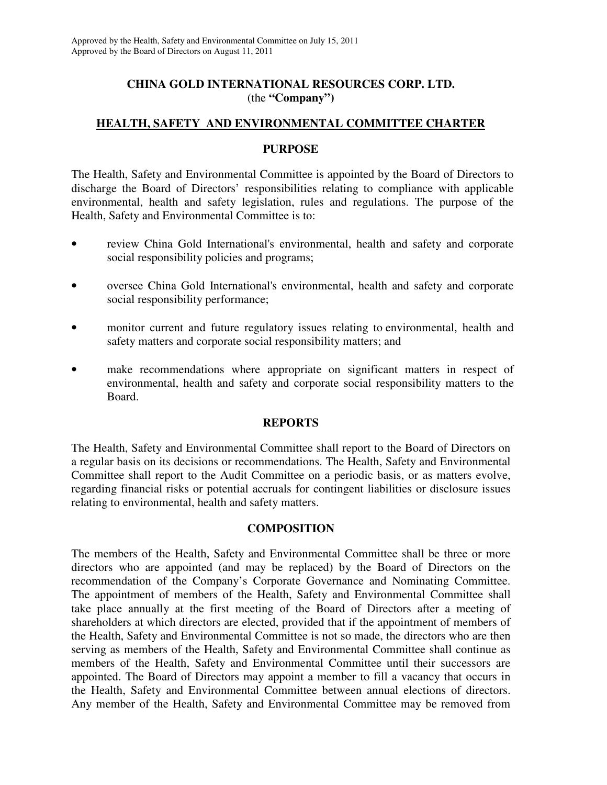# **CHINA GOLD INTERNATIONAL RESOURCES CORP. LTD.**  (the **"Company")**

# **HEALTH, SAFETY AND ENVIRONMENTAL COMMITTEE CHARTER**

## **PURPOSE**

The Health, Safety and Environmental Committee is appointed by the Board of Directors to discharge the Board of Directors' responsibilities relating to compliance with applicable environmental, health and safety legislation, rules and regulations. The purpose of the Health, Safety and Environmental Committee is to:

- review China Gold International's environmental, health and safety and corporate social responsibility policies and programs;
- oversee China Gold International's environmental, health and safety and corporate social responsibility performance;
- monitor current and future regulatory issues relating to environmental, health and safety matters and corporate social responsibility matters; and
- make recommendations where appropriate on significant matters in respect of environmental, health and safety and corporate social responsibility matters to the Board.

## **REPORTS**

The Health, Safety and Environmental Committee shall report to the Board of Directors on a regular basis on its decisions or recommendations. The Health, Safety and Environmental Committee shall report to the Audit Committee on a periodic basis, or as matters evolve, regarding financial risks or potential accruals for contingent liabilities or disclosure issues relating to environmental, health and safety matters.

## **COMPOSITION**

The members of the Health, Safety and Environmental Committee shall be three or more directors who are appointed (and may be replaced) by the Board of Directors on the recommendation of the Company's Corporate Governance and Nominating Committee. The appointment of members of the Health, Safety and Environmental Committee shall take place annually at the first meeting of the Board of Directors after a meeting of shareholders at which directors are elected, provided that if the appointment of members of the Health, Safety and Environmental Committee is not so made, the directors who are then serving as members of the Health, Safety and Environmental Committee shall continue as members of the Health, Safety and Environmental Committee until their successors are appointed. The Board of Directors may appoint a member to fill a vacancy that occurs in the Health, Safety and Environmental Committee between annual elections of directors. Any member of the Health, Safety and Environmental Committee may be removed from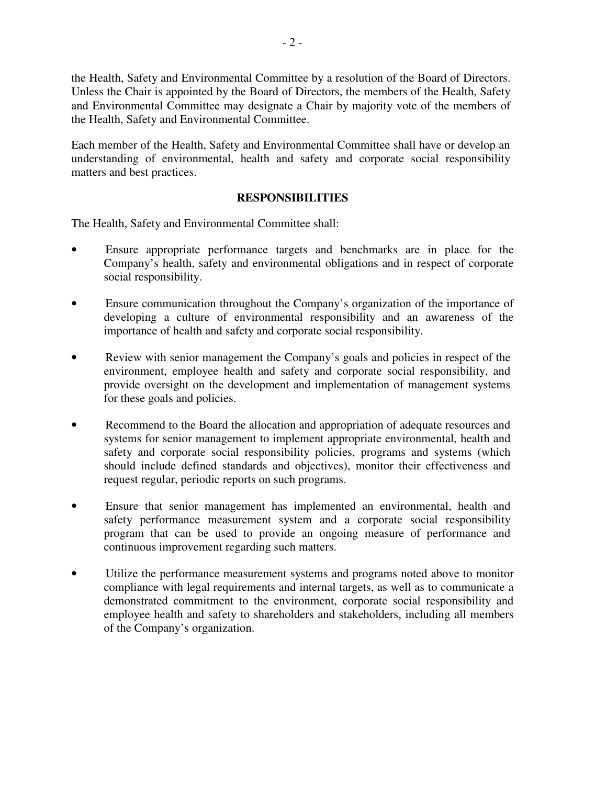the Health, Safety and Environmental Committee by a resolution of the Board of Directors. Unless the Chair is appointed by the Board of Directors, the members of the Health, Safety and Environmental Committee may designate a Chair by majority vote of the members of the Health, Safety and Environmental Committee.

Each member of the Health, Safety and Environmental Committee shall have or develop an understanding of environmental, health and safety and corporate social responsibility matters and best practices.

## **RESPONSIBILITIES**

The Health, Safety and Environmental Committee shall:

- Ensure appropriate performance targets and benchmarks are in place for the Company's health, safety and environmental obligations and in respect of corporate social responsibility.
- Ensure communication throughout the Company's organization of the importance of developing a culture of environmental responsibility and an awareness of the importance of health and safety and corporate social responsibility.
- Review with senior management the Company's goals and policies in respect of the environment, employee health and safety and corporate social responsibility, and provide oversight on the development and implementation of management systems for these goals and policies.
- Recommend to the Board the allocation and appropriation of adequate resources and systems for senior management to implement appropriate environmental, health and safety and corporate social responsibility policies, programs and systems (which should include defined standards and objectives), monitor their effectiveness and request regular, periodic reports on such programs.
- Ensure that senior management has implemented an environmental, health and safety performance measurement system and a corporate social responsibility program that can be used to provide an ongoing measure of performance and continuous improvement regarding such matters.
- Utilize the performance measurement systems and programs noted above to monitor compliance with legal requirements and internal targets, as well as to communicate a demonstrated commitment to the environment, corporate social responsibility and employee health and safety to shareholders and stakeholders, including all members of the Company's organization.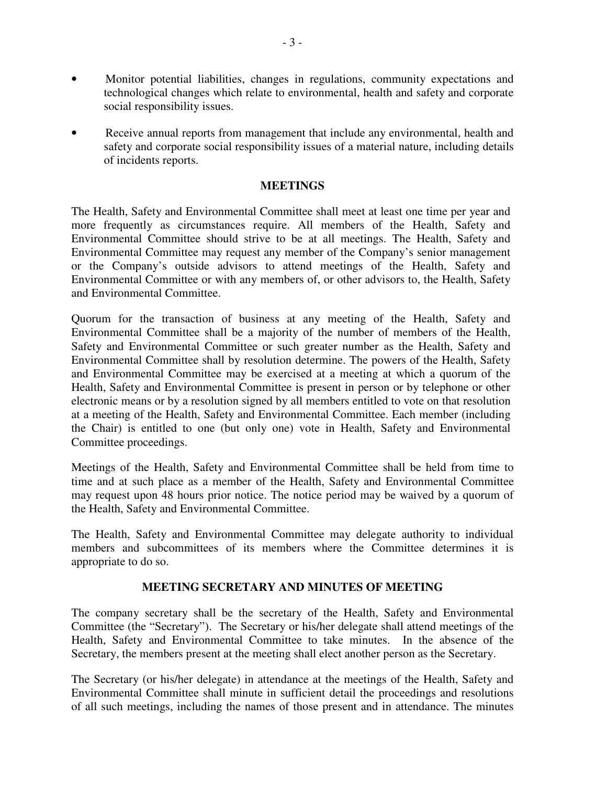- Monitor potential liabilities, changes in regulations, community expectations and technological changes which relate to environmental, health and safety and corporate social responsibility issues.
- Receive annual reports from management that include any environmental, health and safety and corporate social responsibility issues of a material nature, including details of incidents reports.

#### **MEETINGS**

The Health, Safety and Environmental Committee shall meet at least one time per year and more frequently as circumstances require. All members of the Health, Safety and Environmental Committee should strive to be at all meetings. The Health, Safety and Environmental Committee may request any member of the Company's senior management or the Company's outside advisors to attend meetings of the Health, Safety and Environmental Committee or with any members of, or other advisors to, the Health, Safety and Environmental Committee.

Quorum for the transaction of business at any meeting of the Health, Safety and Environmental Committee shall be a majority of the number of members of the Health, Safety and Environmental Committee or such greater number as the Health, Safety and Environmental Committee shall by resolution determine. The powers of the Health, Safety and Environmental Committee may be exercised at a meeting at which a quorum of the Health, Safety and Environmental Committee is present in person or by telephone or other electronic means or by a resolution signed by all members entitled to vote on that resolution at a meeting of the Health, Safety and Environmental Committee. Each member (including the Chair) is entitled to one (but only one) vote in Health, Safety and Environmental Committee proceedings.

Meetings of the Health, Safety and Environmental Committee shall be held from time to time and at such place as a member of the Health, Safety and Environmental Committee may request upon 48 hours prior notice. The notice period may be waived by a quorum of the Health, Safety and Environmental Committee.

The Health, Safety and Environmental Committee may delegate authority to individual members and subcommittees of its members where the Committee determines it is appropriate to do so.

#### **MEETING SECRETARY AND MINUTES OF MEETING**

The company secretary shall be the secretary of the Health, Safety and Environmental Committee (the "Secretary"). The Secretary or his/her delegate shall attend meetings of the Health, Safety and Environmental Committee to take minutes. In the absence of the Secretary, the members present at the meeting shall elect another person as the Secretary.

The Secretary (or his/her delegate) in attendance at the meetings of the Health, Safety and Environmental Committee shall minute in sufficient detail the proceedings and resolutions of all such meetings, including the names of those present and in attendance. The minutes